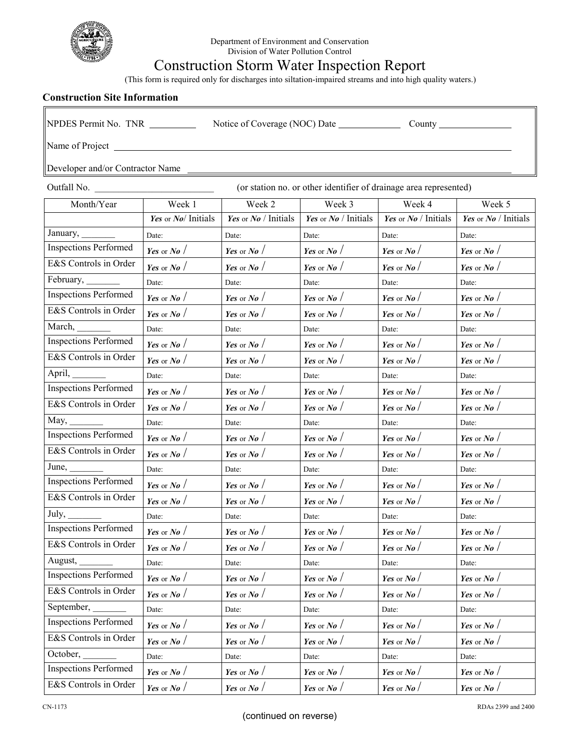

## Construction Storm Water Inspection Report

(This form is required only for discharges into siltation-impaired streams and into high quality waters.)

## **Construction Site Information**

| Construction Site Information                                                                          |                     |                                 |                                       |                              |                      |
|--------------------------------------------------------------------------------------------------------|---------------------|---------------------------------|---------------------------------------|------------------------------|----------------------|
| NPDES Permit No. TNR _________<br>Notice of Coverage (NOC) Date ______________<br>County $\_\_\_\_\_\$ |                     |                                 |                                       |                              |                      |
|                                                                                                        |                     |                                 |                                       |                              |                      |
| Developer and/or Contractor Name                                                                       |                     |                                 |                                       |                              |                      |
| Outfall No.<br>(or station no. or other identifier of drainage area represented)                       |                     |                                 |                                       |                              |                      |
| Month/Year                                                                                             | Week 1              | Week 2                          | Week 3                                | Week 4                       | Week 5               |
|                                                                                                        | Yes or No/ Initials | Yes or $N\mathbf{o}$ / Initials | <b>Yes</b> or $N$ <i>o</i> / Initials | Yes or $N\varrho$ / Initials | Yes or No / Initials |
| January, _______                                                                                       | Date:               | Date:                           | Date:                                 | Date:                        | Date:                |
| <b>Inspections Performed</b>                                                                           | Yes or No $/$       | Yes or No $/$                   | Yes or No $/$                         | Yes or No $/$                | Yes or No $/$        |
| E&S Controls in Order                                                                                  | Yes or No $/$       | Yes or No $/$                   | Yes or No $/$                         | Yes or No $/$                | Yes or No $/$        |
| February,                                                                                              | Date:               | Date:                           | Date:                                 | Date:                        | Date:                |
| <b>Inspections Performed</b>                                                                           | Yes or No $/$       | Yes or No $/$                   | Yes or No $/$                         | Yes or No $/$                | Yes or No $/$        |
| E&S Controls in Order                                                                                  | Yes or $No$ /       | Yes or No $/$                   | Yes or No $/$                         | Yes or No $/$                | Yes or $No$ /        |
|                                                                                                        | Date:               | Date:                           | Date:                                 | Date:                        | Date:                |
| <b>Inspections Performed</b>                                                                           | Yes or No $/$       | Yes or No $/$                   | Yes or No $/$                         | Yes or No $/$                | Yes or No $/$        |
| E&S Controls in Order                                                                                  | Yes or $No$ /       | Yes or No $/$                   | Yes or $No$ /                         | Yes or $No$ /                | Yes or No $/$        |
| April,                                                                                                 | Date:               | Date:                           | Date:                                 | Date:                        | Date:                |
| <b>Inspections Performed</b>                                                                           | Yes or No $/$       | Yes or No $/$                   | Yes or No $/$                         | Yes or No $/$                | Yes or No $/$        |
| E&S Controls in Order                                                                                  | Yes or No $/$       | Yes or No $/$                   | Yes or No $/$                         | Yes or No $/$                | Yes or No $/$        |
| May,                                                                                                   | Date:               | Date:                           | Date:                                 | Date:                        | Date:                |
| <b>Inspections Performed</b>                                                                           | Yes or No $/$       | Yes or No $/$                   | Yes or No $/$                         | Yes or No $/$                | Yes or No $/$        |
| E&S Controls in Order                                                                                  | Yes or $No$ /       | Yes or No $/$                   | Yes or $No$ /                         | Yes or No $/$                | Yes or $No$ /        |
| June, $\frac{\ }{\ }$                                                                                  | Date:               | Date:                           | Date:                                 | Date:                        | Date:                |
| <b>Inspections Performed</b>                                                                           | Yes or No $/$       | Yes or No $/$                   | Yes or No $/$                         | Yes or No $/$                | Yes or No $/$        |
| E&S Controls in Order                                                                                  | Yes or $N$ o /      | Yes or No $/$                   | Yes or No $/$                         | Yes or No $/$                | Yes or $No$ /        |
| July, $\frac{\phantom{aaaa}}{\phantom{aaaa}}$                                                          | Date:               | Date:                           | Date:                                 | Date:                        | Date:                |
| <b>Inspections Performed</b>                                                                           | Yes or No $/$       | Yes or No $/$                   | Yes or No $/$                         | Yes or No $/$                | Yes or $No$ /        |
| E&S Controls in Order                                                                                  | Yes or No $/$       | Yes or No $/$                   | Yes or $N$ o /                        | Yes or No $/$                | Yes or $N$ o /       |
| August,                                                                                                | Date:               | Date:                           | Date:                                 | Date:                        | Date:                |
| <b>Inspections Performed</b>                                                                           | Yes or No $/$       | Yes or No $/$                   | Yes or No $/$                         | Yes or No $/$                | Yes or No $/$        |
| E&S Controls in Order                                                                                  | Yes or No $/$       | Yes or No $/$                   | Yes or No $/$                         | Yes or No $/$                | Yes or No $/$        |

September, Date: Date: Date: Date: Date: Date: Date: Date: Date: Date: Date: Inspections Performed *Yes* or *No* / *Yes* or *No* / *Yes* or *No* / *Yes* or *No* / *Yes* or *No* / E&S Controls in Order *Yes* or *No* / *Yes* or *No* / *Yes* or *No* / *Yes* or *No* / *Yes* or *No* /

October, Date: Date: Date: Date: Date: Date: Date: Date: Date: Date: Date: Inspections Performed *Yes* or *No* / *Yes* or *No* / *Yes* or *No* / *Yes* or *No* / *Yes* or *No* / E&S Controls in Order *Yes* or *No* / *Yes* or *No* / *Yes* or *No* / *Yes* or *No* / *Yes* or *No* / *Yes* or *No* /